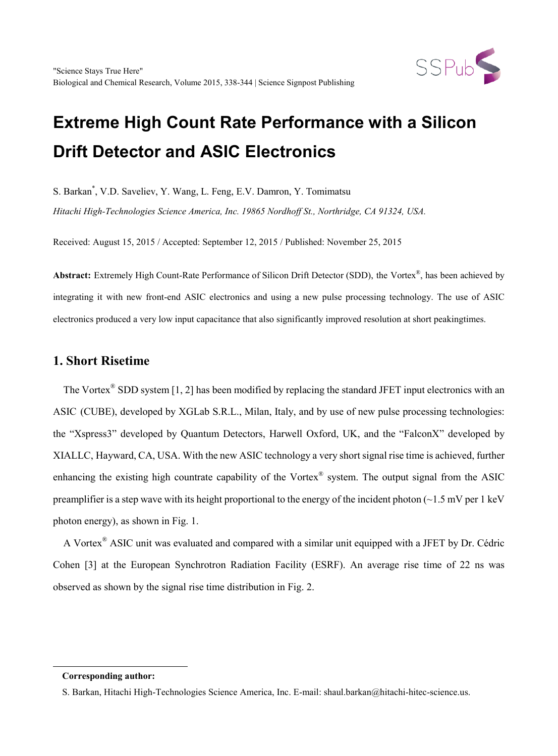

# **Extreme High Count Rate Performance with a Silicon Drift Detector and ASIC Electronics**

S. Barkan\* , V.D. Saveliev, Y. Wang, L. Feng, E.V. Damron, Y. Tomimatsu

*Hitachi High-Technologies Science America, Inc. 19865 Nordhoff St., Northridge, CA 91324, USA.*

Received: August 15, 2015 / Accepted: September 12, 2015 / Published: November 25, 2015

**Abstract:** Extremely High Count-Rate Performance of Silicon Drift Detector (SDD), the Vortex®, has been achieved by integrating it with new front-end ASIC electronics and using a new pulse processing technology. The use of ASIC electronics produced a very low input capacitance that also significantly improved resolution at short peakingtimes.

#### **1. Short Risetime**

The Vortex<sup>®</sup> SDD system [1, 2] has been modified by replacing the standard JFET input electronics with an ASIC (CUBE), developed by XGLab S.R.L., Milan, Italy, and by use of new pulse processing technologies: the "Xspress3" developed by Quantum Detectors, Harwell Oxford, UK, and the "FalconX" developed by XIALLC, Hayward, CA, USA. With the new ASIC technology a very short signal rise time is achieved, further enhancing the existing high countrate capability of the Vortex® system. The output signal from the ASIC preamplifier is a step wave with its height proportional to the energy of the incident photon ( $\sim$ 1.5 mV per 1 keV photon energy), as shown in Fig. 1.

A Vortex® ASIC unit was evaluated and compared with a similar unit equipped with a JFET by Dr. Cédric Cohen [3] at the European Synchrotron Radiation Facility (ESRF). An average rise time of 22 ns was observed as shown by the signal rise time distribution in Fig. 2.

<span id="page-0-0"></span>-

**Corresponding author:**

S. Barkan, Hitachi High-Technologies Science America, Inc. E-mail: shaul.barkan@hitachi-hitec-science.us.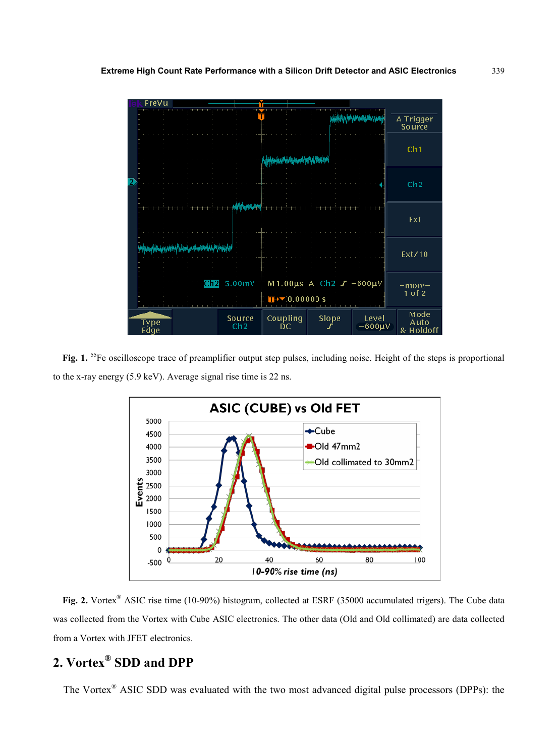

Fig. 1. <sup>55</sup>Fe oscilloscope trace of preamplifier output step pulses, including noise. Height of the steps is proportional to the x-ray energy (5.9 keV). Average signal rise time is 22 ns.



**Fig. 2.** Vortex® ASIC rise time (10-90%) histogram, collected at ESRF (35000 accumulated trigers). The Cube data was collected from the Vortex with Cube ASIC electronics. The other data (Old and Old collimated) are data collected from a Vortex with JFET electronics.

# **2. Vortex® SDD and DPP**

The Vortex® ASIC SDD was evaluated with the two most advanced digital pulse processors (DPPs): the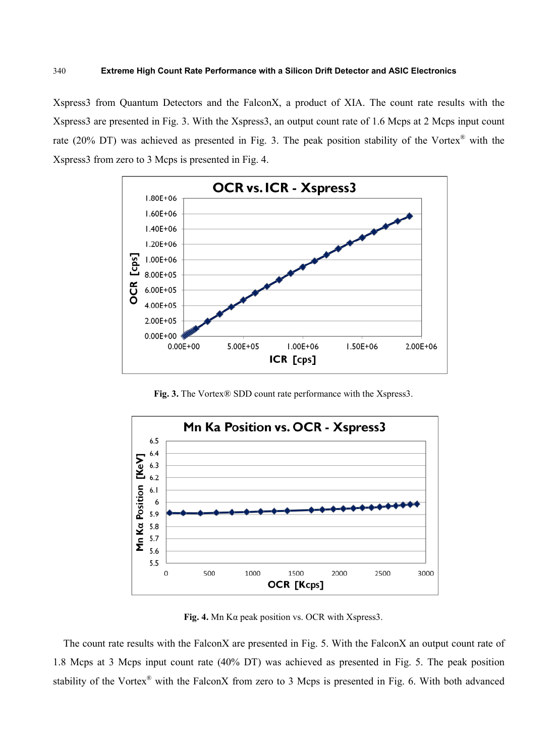Xspress3 from Quantum Detectors and the FalconX, a product of XIA. The count rate results with the Xspress3 are presented in Fig. 3. With the Xspress3, an output count rate of 1.6 Mcps at 2 Mcps input count rate (20% DT) was achieved as presented in Fig. 3. The peak position stability of the Vortex® with the Xspress3 from zero to 3 Mcps is presented in Fig. 4.



**Fig. 3.** The Vortex® SDD count rate performance with the Xspress3.



**Fig. 4.** Mn Kα peak position vs. OCR with Xspress3.

The count rate results with the FalconX are presented in Fig. 5. With the FalconX an output count rate of 1.8 Mcps at 3 Mcps input count rate (40% DT) was achieved as presented in Fig. 5. The peak position stability of the Vortex<sup>®</sup> with the FalconX from zero to 3 Mcps is presented in Fig. 6. With both advanced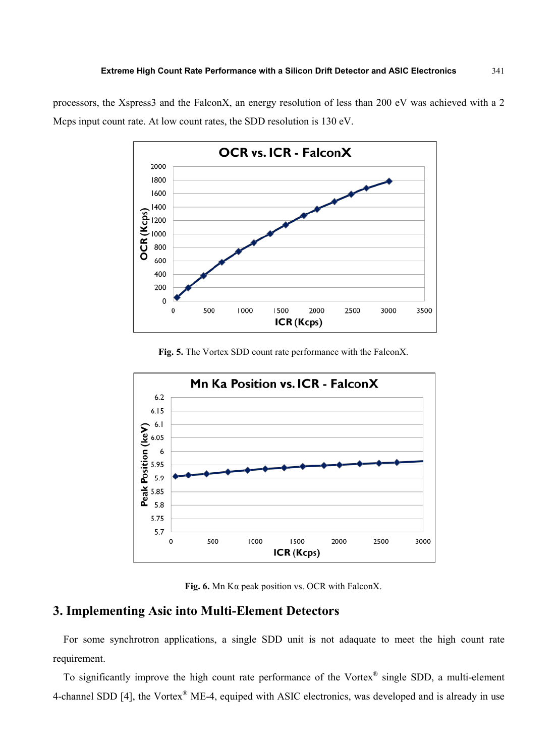processors, the Xspress3 and the FalconX, an energy resolution of less than 200 eV was achieved with a 2 Mcps input count rate. At low count rates, the SDD resolution is 130 eV.



**Fig. 5.** The Vortex SDD count rate performance with the FalconX.



**Fig. 6.** Mn Kα peak position vs. OCR with FalconX.

### **3. Implementing Asic into Multi-Element Detectors**

For some synchrotron applications, a single SDD unit is not adaquate to meet the high count rate requirement.

To significantly improve the high count rate performance of the Vortex<sup>®</sup> single SDD, a multi-element 4-channel SDD [4], the Vortex<sup>®</sup> ME-4, equiped with ASIC electronics, was developed and is already in use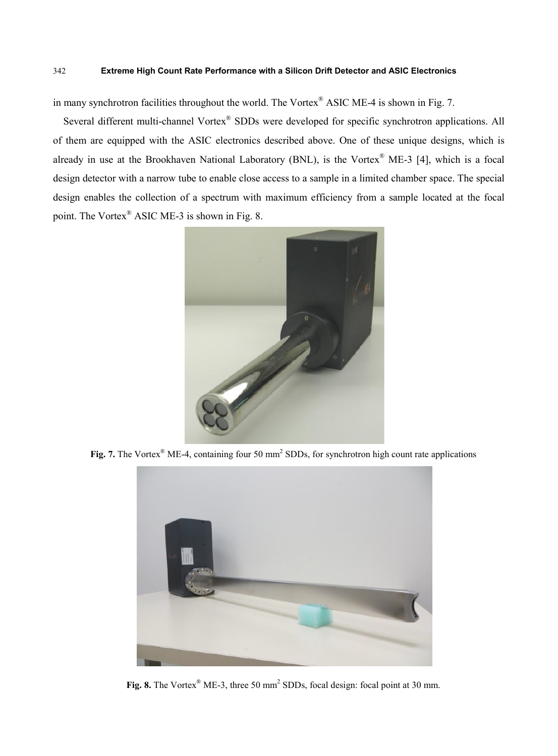#### 342 **Extreme High Count Rate Performance with a Silicon Drift Detector and ASIC Electronics**

in many synchrotron facilities throughout the world. The Vortex® ASIC ME-4 is shown in Fig. 7.

Several different multi-channel Vortex<sup>®</sup> SDDs were developed for specific synchrotron applications. All of them are equipped with the ASIC electronics described above. One of these unique designs, which is already in use at the Brookhaven National Laboratory (BNL), is the Vortex® ME-3 [4], which is a focal design detector with a narrow tube to enable close access to a sample in a limited chamber space. The special design enables the collection of a spectrum with maximum efficiency from a sample located at the focal point. The Vortex® ASIC ME-3 is shown in Fig. 8.



**Fig.** 7. The Vortex<sup>®</sup> ME-4, containing four 50 mm<sup>2</sup> SDDs, for synchrotron high count rate applications



**Fig. 8.** The Vortex<sup>®</sup> ME-3, three 50 mm<sup>2</sup> SDDs, focal design: focal point at 30 mm.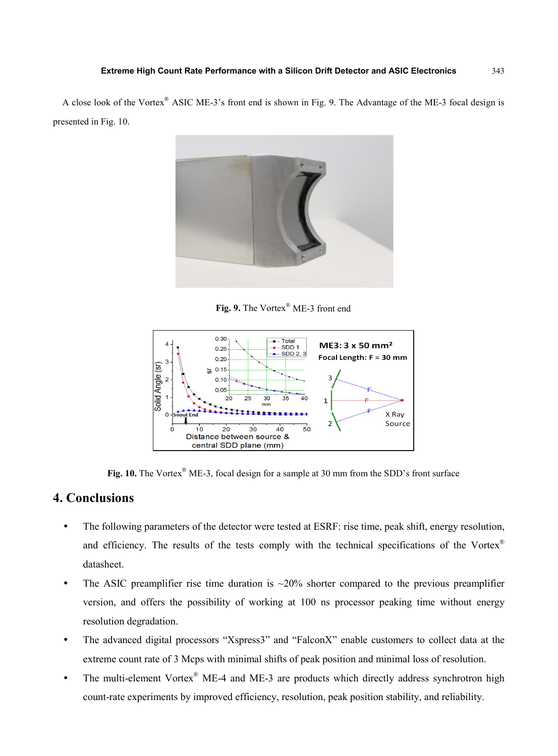A close look of the Vortex® ASIC ME-3's front end is shown in Fig. 9. The Advantage of the ME-3 focal design is presented in Fig. 10.



**Fig. 9.** The Vortex® ME-3 front end



Fig. 10. The Vortex<sup>®</sup> ME-3, focal design for a sample at 30 mm from the SDD's front surface

#### **4. Conclusions**

- The following parameters of the detector were tested at ESRF: rise time, peak shift, energy resolution, and efficiency. The results of the tests comply with the technical specifications of the Vortex<sup>®</sup> datasheet.
- The ASIC preamplifier rise time duration is  $\sim$ 20% shorter compared to the previous preamplifier version, and offers the possibility of working at 100 ns processor peaking time without energy resolution degradation.
- The advanced digital processors "Xspress3" and "FalconX" enable customers to collect data at the extreme count rate of 3 Mcps with minimal shifts of peak position and minimal loss of resolution.
- The multi-element Vortex<sup>®</sup> ME-4 and ME-3 are products which directly address synchrotron high count-rate experiments by improved efficiency, resolution, peak position stability, and reliability.